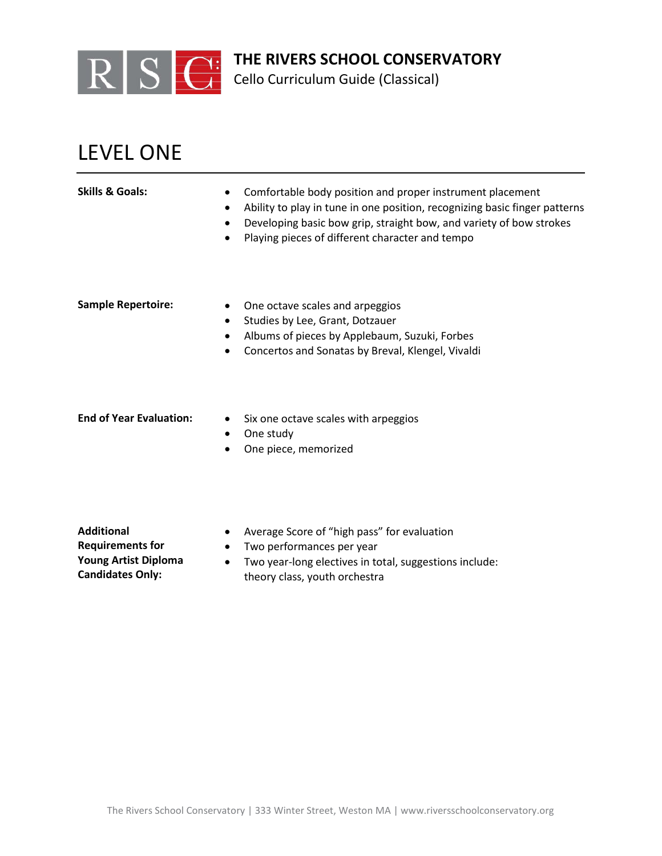

Cello Curriculum Guide (Classical)

## LEVEL ONE

| <b>Skills &amp; Goals:</b>     | Comfortable body position and proper instrument placement<br>$\bullet$<br>Ability to play in tune in one position, recognizing basic finger patterns<br>٠<br>Developing basic bow grip, straight bow, and variety of bow strokes<br>٠<br>Playing pieces of different character and tempo<br>$\bullet$ |
|--------------------------------|-------------------------------------------------------------------------------------------------------------------------------------------------------------------------------------------------------------------------------------------------------------------------------------------------------|
| <b>Sample Repertoire:</b>      | One octave scales and arpeggios<br>Studies by Lee, Grant, Dotzauer<br>$\bullet$<br>Albums of pieces by Applebaum, Suzuki, Forbes<br>٠<br>Concertos and Sonatas by Breval, Klengel, Vivaldi<br>$\bullet$                                                                                               |
| <b>End of Year Evaluation:</b> | Six one octave scales with arpeggios<br>٠<br>One study<br>٠<br>One piece, memorized                                                                                                                                                                                                                   |

**Additional Requirements for Young Artist Diploma Candidates Only:**

- Average Score of "high pass" for evaluation
- Two performances per year
- Two year-long electives in total, suggestions include: theory class, youth orchestra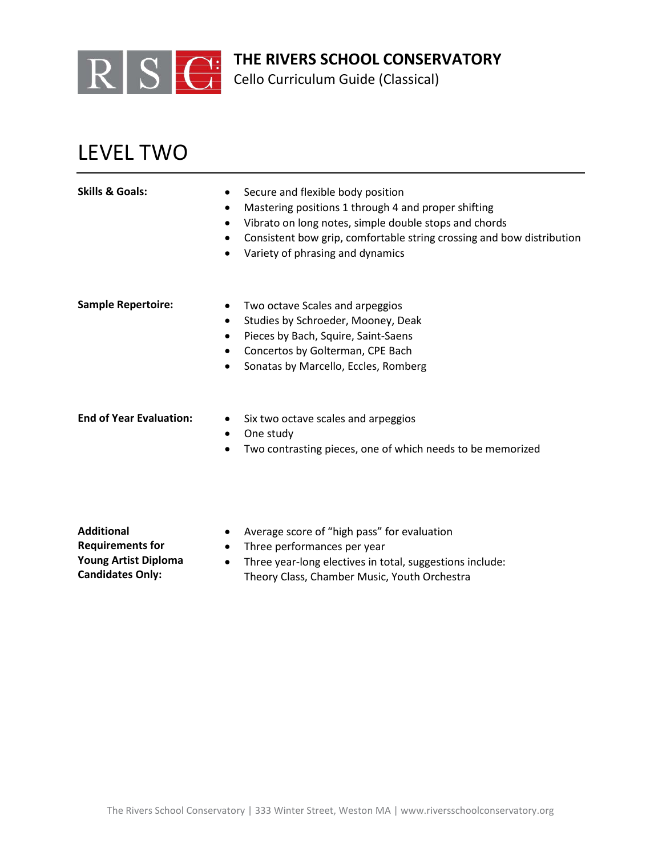

Cello Curriculum Guide (Classical)

## LEVEL TWO

| Skills & Goals:                | Secure and flexible body position<br>$\bullet$<br>Mastering positions 1 through 4 and proper shifting<br>$\bullet$<br>Vibrato on long notes, simple double stops and chords<br>$\bullet$<br>Consistent bow grip, comfortable string crossing and bow distribution<br>$\bullet$<br>Variety of phrasing and dynamics |
|--------------------------------|--------------------------------------------------------------------------------------------------------------------------------------------------------------------------------------------------------------------------------------------------------------------------------------------------------------------|
| <b>Sample Repertoire:</b>      | Two octave Scales and arpeggios<br>Studies by Schroeder, Mooney, Deak<br>$\bullet$<br>Pieces by Bach, Squire, Saint-Saens<br>$\bullet$<br>Concertos by Golterman, CPE Bach<br>Sonatas by Marcello, Eccles, Romberg                                                                                                 |
| <b>End of Year Evaluation:</b> | Six two octave scales and arpeggios<br>$\bullet$<br>One study<br>$\bullet$<br>Two contrasting pieces, one of which needs to be memorized                                                                                                                                                                           |

**Additional Requirements for Young Artist Diploma Candidates Only:**

- Average score of "high pass" for evaluation
- Three performances per year
- Three year-long electives in total, suggestions include: Theory Class, Chamber Music, Youth Orchestra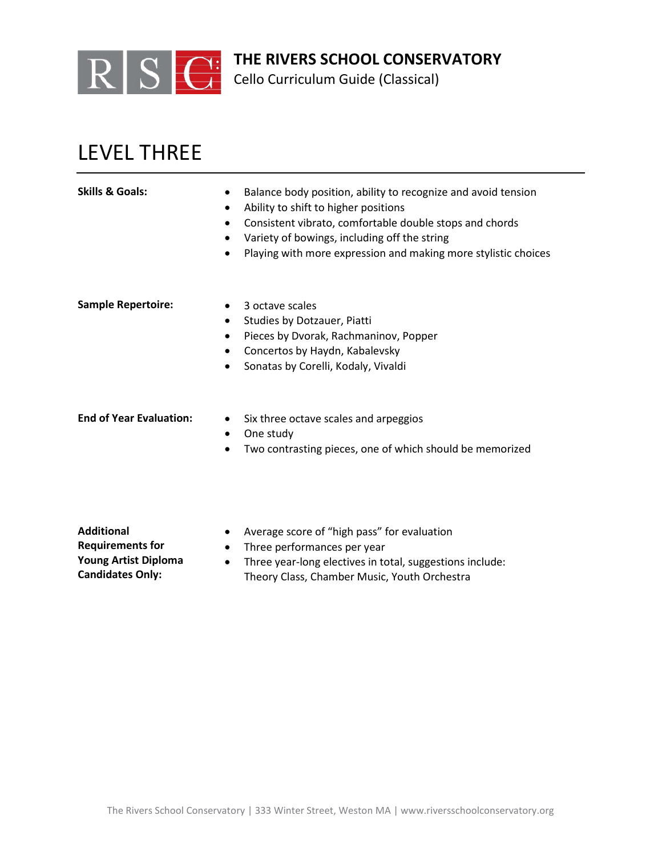

Cello Curriculum Guide (Classical)

## LEVEL THREE

| <b>Skills &amp; Goals:</b> | Balance body position, ability to recognize and avoid tension<br>$\bullet$<br>Ability to shift to higher positions<br>٠<br>Consistent vibrato, comfortable double stops and chords |
|----------------------------|------------------------------------------------------------------------------------------------------------------------------------------------------------------------------------|
|                            | Variety of bowings, including off the string<br>٠<br>Playing with more expression and making more stylistic choices                                                                |
| <b>Sample Repertoire:</b>  | 3 octave scales<br>$\bullet$                                                                                                                                                       |
|                            | Studies by Dotzauer, Piatti<br>$\bullet$<br>Pieces by Dvorak, Rachmaninov, Popper<br>٠                                                                                             |
|                            | Concertos by Haydn, Kabalevsky<br>٠                                                                                                                                                |
|                            | Sonatas by Corelli, Kodaly, Vivaldi<br>٠                                                                                                                                           |
|                            |                                                                                                                                                                                    |
|                            |                                                                                                                                                                                    |

- **End of Year Evaluation:** Six three octave scales and arpeggios
	- One study
	- Two contrasting pieces, one of which should be memorized

**Additional Requirements for Young Artist Diploma Candidates Only:**

- Average score of "high pass" for evaluation
- Three performances per year
- Three year-long electives in total, suggestions include: Theory Class, Chamber Music, Youth Orchestra